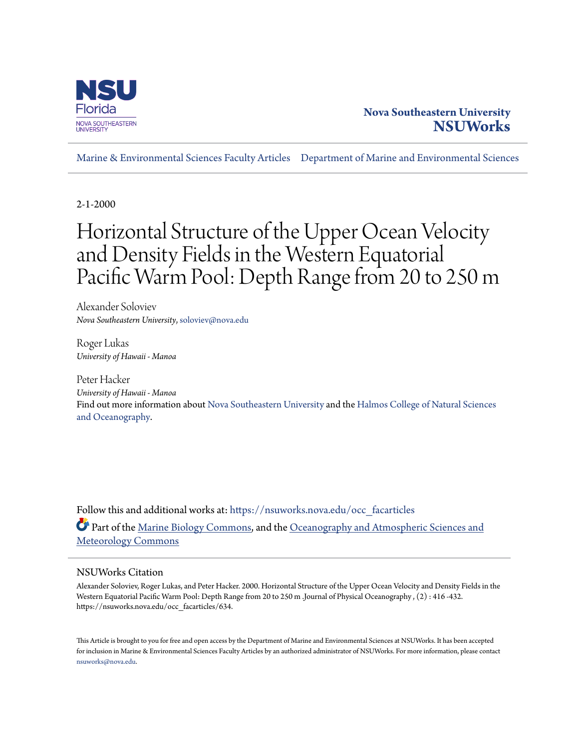

# **Nova Southeastern University [NSUWorks](https://nsuworks.nova.edu?utm_source=nsuworks.nova.edu%2Focc_facarticles%2F634&utm_medium=PDF&utm_campaign=PDFCoverPages)**

[Marine & Environmental Sciences Faculty Articles](https://nsuworks.nova.edu/occ_facarticles?utm_source=nsuworks.nova.edu%2Focc_facarticles%2F634&utm_medium=PDF&utm_campaign=PDFCoverPages) [Department of Marine and Environmental Sciences](https://nsuworks.nova.edu/cnso_mes?utm_source=nsuworks.nova.edu%2Focc_facarticles%2F634&utm_medium=PDF&utm_campaign=PDFCoverPages)

2-1-2000

# Horizontal Structure of the Upper Ocean Velocity and Density Fields in the Western Equatorial Pacific Warm Pool: Depth Range from 20 to 250 m

Alexander Soloviev *Nova Southeastern University*, soloviev@nova.edu

Roger Lukas *University of Hawaii - Manoa*

Peter Hacker *University of Hawaii - Manoa* Find out more information about [Nova Southeastern University](http://www.nova.edu/) and the [Halmos College of Natural Sciences](https://cnso.nova.edu) [and Oceanography.](https://cnso.nova.edu)

Follow this and additional works at: [https://nsuworks.nova.edu/occ\\_facarticles](https://nsuworks.nova.edu/occ_facarticles?utm_source=nsuworks.nova.edu%2Focc_facarticles%2F634&utm_medium=PDF&utm_campaign=PDFCoverPages) Part of the [Marine Biology Commons,](http://network.bepress.com/hgg/discipline/1126?utm_source=nsuworks.nova.edu%2Focc_facarticles%2F634&utm_medium=PDF&utm_campaign=PDFCoverPages) and the [Oceanography and Atmospheric Sciences and](http://network.bepress.com/hgg/discipline/186?utm_source=nsuworks.nova.edu%2Focc_facarticles%2F634&utm_medium=PDF&utm_campaign=PDFCoverPages) [Meteorology Commons](http://network.bepress.com/hgg/discipline/186?utm_source=nsuworks.nova.edu%2Focc_facarticles%2F634&utm_medium=PDF&utm_campaign=PDFCoverPages)

# NSUWorks Citation

Alexander Soloviev, Roger Lukas, and Peter Hacker. 2000. Horizontal Structure of the Upper Ocean Velocity and Density Fields in the Western Equatorial Pacific Warm Pool: Depth Range from 20 to 250 m .Journal of Physical Oceanography , (2) : 416 -432. https://nsuworks.nova.edu/occ\_facarticles/634.

This Article is brought to you for free and open access by the Department of Marine and Environmental Sciences at NSUWorks. It has been accepted for inclusion in Marine & Environmental Sciences Faculty Articles by an authorized administrator of NSUWorks. For more information, please contact [nsuworks@nova.edu.](mailto:nsuworks@nova.edu)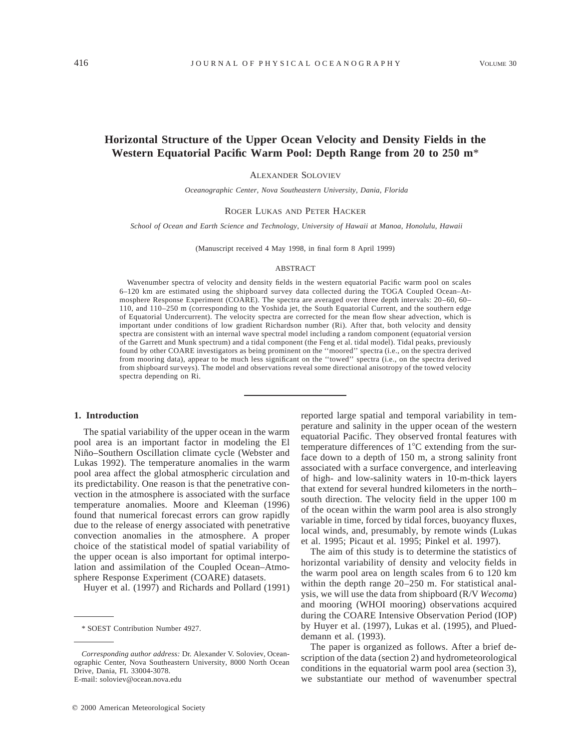# **Horizontal Structure of the Upper Ocean Velocity and Density Fields in the Western Equatorial Pacific Warm Pool: Depth Range from 20 to 250 m**\*

ALEXANDER SOLOVIEV

*Oceanographic Center, Nova Southeastern University, Dania, Florida*

#### ROGER LUKAS AND PETER HACKER

*School of Ocean and Earth Science and Technology, University of Hawaii at Manoa, Honolulu, Hawaii*

(Manuscript received 4 May 1998, in final form 8 April 1999)

#### ABSTRACT

Wavenumber spectra of velocity and density fields in the western equatorial Pacific warm pool on scales 6–120 km are estimated using the shipboard survey data collected during the TOGA Coupled Ocean–Atmosphere Response Experiment (COARE). The spectra are averaged over three depth intervals: 20–60, 60– 110, and 110–250 m (corresponding to the Yoshida jet, the South Equatorial Current, and the southern edge of Equatorial Undercurrent). The velocity spectra are corrected for the mean flow shear advection, which is important under conditions of low gradient Richardson number (Ri). After that, both velocity and density spectra are consistent with an internal wave spectral model including a random component (equatorial version of the Garrett and Munk spectrum) and a tidal component (the Feng et al. tidal model). Tidal peaks, previously found by other COARE investigators as being prominent on the ''moored'' spectra (i.e., on the spectra derived from mooring data), appear to be much less significant on the ''towed'' spectra (i.e., on the spectra derived from shipboard surveys). The model and observations reveal some directional anisotropy of the towed velocity spectra depending on Ri.

#### **1. Introduction**

The spatial variability of the upper ocean in the warm pool area is an important factor in modeling the El Niño–Southern Oscillation climate cycle (Webster and Lukas 1992). The temperature anomalies in the warm pool area affect the global atmospheric circulation and its predictability. One reason is that the penetrative convection in the atmosphere is associated with the surface temperature anomalies. Moore and Kleeman (1996) found that numerical forecast errors can grow rapidly due to the release of energy associated with penetrative convection anomalies in the atmosphere. A proper choice of the statistical model of spatial variability of the upper ocean is also important for optimal interpolation and assimilation of the Coupled Ocean–Atmosphere Response Experiment (COARE) datasets.

Huyer et al. (1997) and Richards and Pollard (1991)

reported large spatial and temporal variability in temperature and salinity in the upper ocean of the western equatorial Pacific. They observed frontal features with temperature differences of  $1^{\circ}$ C extending from the surface down to a depth of 150 m, a strong salinity front associated with a surface convergence, and interleaving of high- and low-salinity waters in 10-m-thick layers that extend for several hundred kilometers in the north– south direction. The velocity field in the upper 100 m of the ocean within the warm pool area is also strongly variable in time, forced by tidal forces, buoyancy fluxes, local winds, and, presumably, by remote winds (Lukas et al. 1995; Picaut et al. 1995; Pinkel et al. 1997).

The aim of this study is to determine the statistics of horizontal variability of density and velocity fields in the warm pool area on length scales from 6 to 120 km within the depth range 20–250 m. For statistical analysis, we will use the data from shipboard (R/V *Wecoma*) and mooring (WHOI mooring) observations acquired during the COARE Intensive Observation Period (IOP) by Huyer et al. (1997), Lukas et al. (1995), and Plueddemann et al. (1993).

The paper is organized as follows. After a brief description of the data (section 2) and hydrometeorological conditions in the equatorial warm pool area (section 3), we substantiate our method of wavenumber spectral

<sup>\*</sup> SOEST Contribution Number 4927.

*Corresponding author address:* Dr. Alexander V. Soloviev, Oceanographic Center, Nova Southeastern University, 8000 North Ocean Drive, Dania, FL 33004-3078. E-mail: soloviev@ocean.nova.edu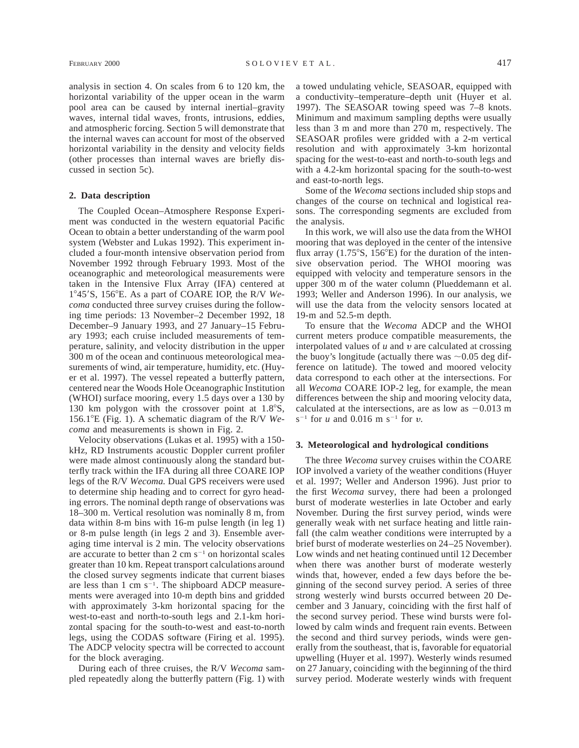analysis in section 4. On scales from 6 to 120 km, the horizontal variability of the upper ocean in the warm pool area can be caused by internal inertial–gravity waves, internal tidal waves, fronts, intrusions, eddies, and atmospheric forcing. Section 5 will demonstrate that the internal waves can account for most of the observed horizontal variability in the density and velocity fields (other processes than internal waves are briefly discussed in section 5c).

## **2. Data description**

The Coupled Ocean–Atmosphere Response Experiment was conducted in the western equatorial Pacific Ocean to obtain a better understanding of the warm pool system (Webster and Lukas 1992). This experiment included a four-month intensive observation period from November 1992 through February 1993. Most of the oceanographic and meteorological measurements were taken in the Intensive Flux Array (IFA) centered at 1°45'S, 156°E. As a part of COARE IOP, the R/V *Wecoma* conducted three survey cruises during the following time periods: 13 November–2 December 1992, 18 December–9 January 1993, and 27 January–15 February 1993; each cruise included measurements of temperature, salinity, and velocity distribution in the upper 300 m of the ocean and continuous meteorological measurements of wind, air temperature, humidity, etc. (Huyer et al. 1997). The vessel repeated a butterfly pattern, centered near the Woods Hole Oceanographic Institution (WHOI) surface mooring, every 1.5 days over a 130 by 130 km polygon with the crossover point at  $1.8^{\circ}$ S, 156.18E (Fig. 1). A schematic diagram of the R/V *Wecoma* and measurements is shown in Fig. 2.

Velocity observations (Lukas et al. 1995) with a 150 kHz, RD Instruments acoustic Doppler current profiler were made almost continuously along the standard butterfly track within the IFA during all three COARE IOP legs of the R/V *Wecoma.* Dual GPS receivers were used to determine ship heading and to correct for gyro heading errors. The nominal depth range of observations was 18–300 m. Vertical resolution was nominally 8 m, from data within 8-m bins with 16-m pulse length (in leg 1) or 8-m pulse length (in legs 2 and 3). Ensemble averaging time interval is 2 min. The velocity observations are accurate to better than  $2 \text{ cm s}^{-1}$  on horizontal scales greater than 10 km. Repeat transport calculations around the closed survey segments indicate that current biases are less than 1 cm  $s^{-1}$ . The shipboard ADCP measurements were averaged into 10-m depth bins and gridded with approximately 3-km horizontal spacing for the west-to-east and north-to-south legs and 2.1-km horizontal spacing for the south-to-west and east-to-north legs, using the CODAS software (Firing et al. 1995). The ADCP velocity spectra will be corrected to account for the block averaging.

During each of three cruises, the R/V *Wecoma* sampled repeatedly along the butterfly pattern (Fig. 1) with a towed undulating vehicle, SEASOAR, equipped with a conductivity–temperature–depth unit (Huyer et al. 1997). The SEASOAR towing speed was 7–8 knots. Minimum and maximum sampling depths were usually less than 3 m and more than 270 m, respectively. The SEASOAR profiles were gridded with a 2-m vertical resolution and with approximately 3-km horizontal spacing for the west-to-east and north-to-south legs and with a 4.2-km horizontal spacing for the south-to-west and east-to-north legs.

Some of the *Wecoma* sections included ship stops and changes of the course on technical and logistical reasons. The corresponding segments are excluded from the analysis.

In this work, we will also use the data from the WHOI mooring that was deployed in the center of the intensive flux array  $(1.75^{\circ}S, 156^{\circ}E)$  for the duration of the intensive observation period. The WHOI mooring was equipped with velocity and temperature sensors in the upper 300 m of the water column (Plueddemann et al. 1993; Weller and Anderson 1996). In our analysis, we will use the data from the velocity sensors located at 19-m and 52.5-m depth.

To ensure that the *Wecoma* ADCP and the WHOI current meters produce compatible measurements, the interpolated values of  $u$  and  $v$  are calculated at crossing the buoy's longitude (actually there was  $\sim 0.05$  deg difference on latitude). The towed and moored velocity data correspond to each other at the intersections. For all *Wecoma* COARE IOP-2 leg, for example, the mean differences between the ship and mooring velocity data, calculated at the intersections, are as low as  $-0.013$  m  $s^{-1}$  for *u* and 0.016 m  $s^{-1}$  for *v*.

#### **3. Meteorological and hydrological conditions**

The three *Wecoma* survey cruises within the COARE IOP involved a variety of the weather conditions (Huyer et al. 1997; Weller and Anderson 1996). Just prior to the first *Wecoma* survey, there had been a prolonged burst of moderate westerlies in late October and early November. During the first survey period, winds were generally weak with net surface heating and little rainfall (the calm weather conditions were interrupted by a brief burst of moderate westerlies on 24–25 November). Low winds and net heating continued until 12 December when there was another burst of moderate westerly winds that, however, ended a few days before the beginning of the second survey period. A series of three strong westerly wind bursts occurred between 20 December and 3 January, coinciding with the first half of the second survey period. These wind bursts were followed by calm winds and frequent rain events. Between the second and third survey periods, winds were generally from the southeast, that is, favorable for equatorial upwelling (Huyer et al. 1997). Westerly winds resumed on 27 January, coinciding with the beginning of the third survey period. Moderate westerly winds with frequent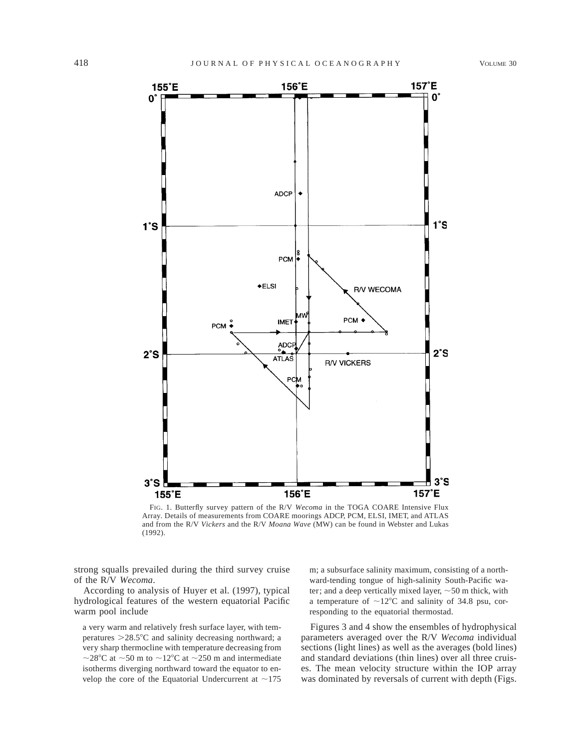

FIG. 1. Butterfly survey pattern of the R/V *Wecoma* in the TOGA COARE Intensive Flux Array. Details of measurements from COARE moorings ADCP, PCM, ELSI, IMET, and ATLAS and from the R/V *Vickers* and the R/V *Moana Wave* (MW) can be found in Webster and Lukas (1992).

strong squalls prevailed during the third survey cruise of the R/V *Wecoma*.

According to analysis of Huyer et al. (1997), typical hydrological features of the western equatorial Pacific warm pool include

a very warm and relatively fresh surface layer, with temperatures  $>28.5^{\circ}$ C and salinity decreasing northward; a very sharp thermocline with temperature decreasing from ~28°C at ~50 m to ~12°C at ~250 m and intermediate isotherms diverging northward toward the equator to envelop the core of the Equatorial Undercurrent at  $\sim$ 175 m; a subsurface salinity maximum, consisting of a northward-tending tongue of high-salinity South-Pacific water; and a deep vertically mixed layer,  $\sim$  50 m thick, with a temperature of  $\sim$ 12°C and salinity of 34.8 psu, corresponding to the equatorial thermostad.

Figures 3 and 4 show the ensembles of hydrophysical parameters averaged over the R/V *Wecoma* individual sections (light lines) as well as the averages (bold lines) and standard deviations (thin lines) over all three cruises. The mean velocity structure within the IOP array was dominated by reversals of current with depth (Figs.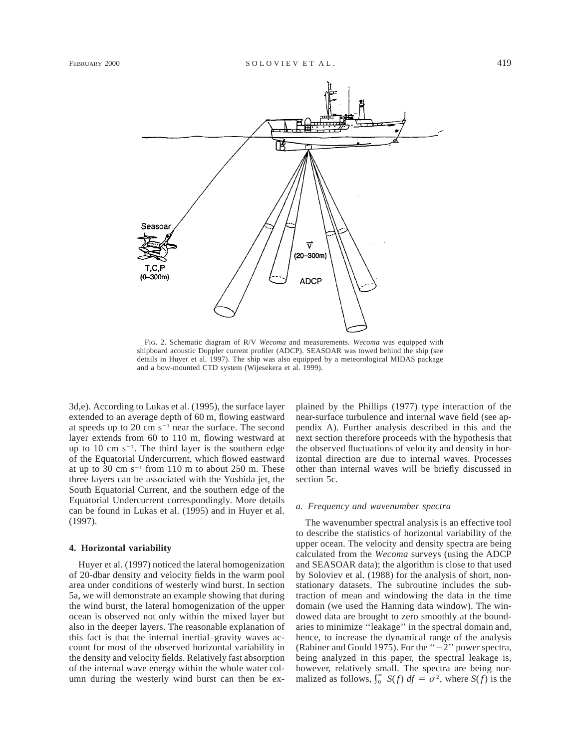

FIG. 2. Schematic diagram of R/V *Wecoma* and measurements. *Wecoma* was equipped with shipboard acoustic Doppler current profiler (ADCP). SEASOAR was towed behind the ship (see details in Huyer et al. 1997). The ship was also equipped by a meteorological MIDAS package and a bow-mounted CTD system (Wijesekera et al. 1999).

3d,e). According to Lukas et al. (1995), the surface layer extended to an average depth of 60 m, flowing eastward at speeds up to 20 cm  $s^{-1}$  near the surface. The second layer extends from 60 to 110 m, flowing westward at up to 10 cm  $s^{-1}$ . The third layer is the southern edge of the Equatorial Undercurrent, which flowed eastward at up to 30 cm  $s^{-1}$  from 110 m to about 250 m. These three layers can be associated with the Yoshida jet, the South Equatorial Current, and the southern edge of the Equatorial Undercurrent correspondingly. More details can be found in Lukas et al. (1995) and in Huyer et al. (1997).

#### **4. Horizontal variability**

Huyer et al. (1997) noticed the lateral homogenization of 20-dbar density and velocity fields in the warm pool area under conditions of westerly wind burst. In section 5a, we will demonstrate an example showing that during the wind burst, the lateral homogenization of the upper ocean is observed not only within the mixed layer but also in the deeper layers. The reasonable explanation of this fact is that the internal inertial–gravity waves account for most of the observed horizontal variability in the density and velocity fields. Relatively fast absorption of the internal wave energy within the whole water column during the westerly wind burst can then be explained by the Phillips (1977) type interaction of the near-surface turbulence and internal wave field (see appendix A). Further analysis described in this and the next section therefore proceeds with the hypothesis that the observed fluctuations of velocity and density in horizontal direction are due to internal waves. Processes other than internal waves will be briefly discussed in section 5c.

#### *a. Frequency and wavenumber spectra*

The wavenumber spectral analysis is an effective tool to describe the statistics of horizontal variability of the upper ocean. The velocity and density spectra are being calculated from the *Wecoma* surveys (using the ADCP and SEASOAR data); the algorithm is close to that used by Soloviev et al. (1988) for the analysis of short, nonstationary datasets. The subroutine includes the subtraction of mean and windowing the data in the time domain (we used the Hanning data window). The windowed data are brought to zero smoothly at the boundaries to minimize ''leakage'' in the spectral domain and, hence, to increase the dynamical range of the analysis (Rabiner and Gould 1975). For the " $-2$ " power spectra, being analyzed in this paper, the spectral leakage is, however, relatively small. The spectra are being normalized as follows,  $\int_0^\infty S(f) df = \sigma^2$ , where  $S(f)$  is the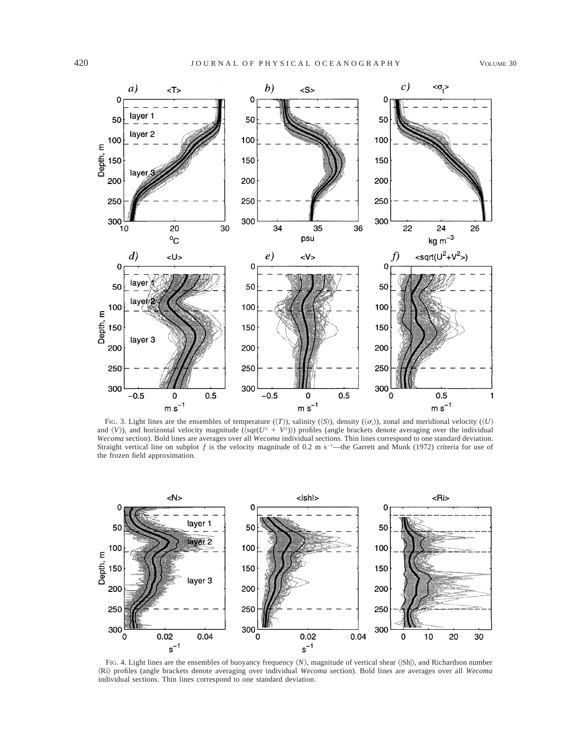

FIG. 3. Light lines are the ensembles of temperature ( $\langle T \rangle$ ), salinity ( $\langle S \rangle$ ), density ( $\langle \sigma_i \rangle$ ), zonal and meridional velocity ( $\langle U \rangle$ and  $\langle V \rangle$ ), and horizontal velocity magnitude ( $\langle \sqrt{Q^2 + V^2} \rangle$ ) profiles (angle brackets denote averaging over the individual *Wecoma* section). Bold lines are averages over all *Wecoma* individual sections. Thin lines correspond to one standard deviation. Straight vertical line on subplot  $f$  is the velocity magnitude of 0.2 m s<sup>-1</sup>—the Garrett and Munk (1972) criteria for use of the frozen field approximation.



FIG. 4. Light lines are the ensembles of buoyancy frequency  $\langle N \rangle$ , magnitude of vertical shear  $\langle |Sh| \rangle$ , and Richardson number ^Ri& profiles (angle brackets denote averaging over individual *Wecoma* section). Bold lines are averages over all *Wecoma* individual sections. Thin lines correspond to one standard deviation.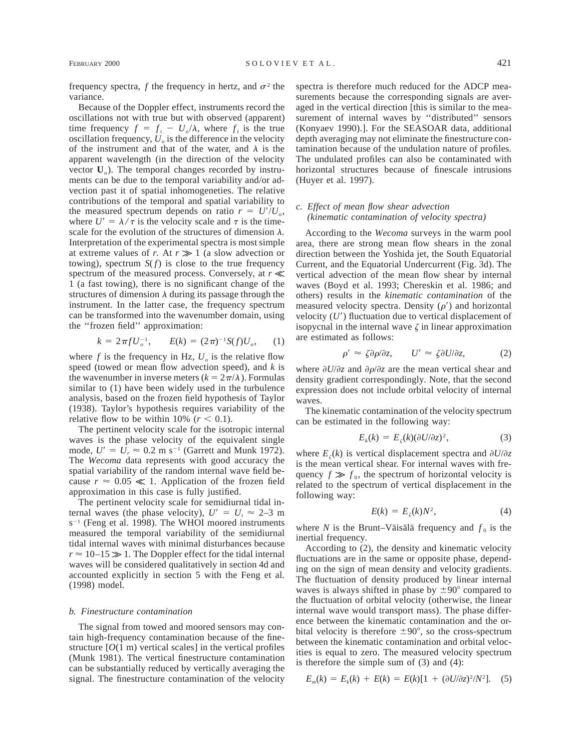frequency spectra,  $f$  the frequency in hertz, and  $\sigma^2$  the variance.

Because of the Doppler effect, instruments record the oscillations not with true but with observed (apparent) time frequency  $f = f_t - U_o/\lambda$ , where  $f_t$  is the true oscillation frequency,  $U<sub>o</sub>$  is the difference in the velocity of the instrument and that of the water, and  $\lambda$  is the apparent wavelength (in the direction of the velocity vector **U***o*). The temporal changes recorded by instruments can be due to the temporal variability and/or advection past it of spatial inhomogeneties. The relative contributions of the temporal and spatial variability to the measured spectrum depends on ratio  $r = U^{\prime}/U_{\alpha}$ , where  $U' = \lambda / \tau$  is the velocity scale and  $\tau$  is the timescale for the evolution of the structures of dimension  $\lambda$ . Interpretation of the experimental spectra is most simple at extreme values of *r*. At  $r \gg 1$  (a slow advection or towing), spectrum  $S(f)$  is close to the true frequency spectrum of the measured process. Conversely, at  $r \ll$ 1 (a fast towing), there is no significant change of the structures of dimension  $\lambda$  during its passage through the instrument. In the latter case, the frequency spectrum can be transformed into the wavenumber domain, using the ''frozen field'' approximation:

$$
k = 2\pi f U_o^{-1}, \qquad E(k) = (2\pi)^{-1} S(f) U_o, \qquad (1)
$$

where  $f$  is the frequency in Hz,  $U_o$  is the relative flow speed (towed or mean flow advection speed), and *k* is the wavenumber in inverse meters  $(k = 2\pi/\lambda)$ . Formulas similar to (1) have been widely used in the turbulence analysis, based on the frozen field hypothesis of Taylor (1938). Taylor's hypothesis requires variability of the relative flow to be within 10% ( $r < 0.1$ ).

The pertinent velocity scale for the isotropic internal waves is the phase velocity of the equivalent single mode,  $U' = U_r \approx 0.2$  m s<sup>-1</sup> (Garrett and Munk 1972). The *Wecoma* data represents with good accuracy the spatial variability of the random internal wave field because  $r \approx 0.05 \ll 1$ . Application of the frozen field approximation in this case is fully justified.

The pertinent velocity scale for semidiurnal tidal internal waves (the phase velocity),  $U' = U_t \approx 2-3$  m  $s^{-1}$  (Feng et al. 1998). The WHOI moored instruments measured the temporal variability of the semidiurnal tidal internal waves with minimal disturbances because  $r \approx 10-15 \gg 1$ . The Doppler effect for the tidal internal waves will be considered qualitatively in section 4d and accounted explicitly in section 5 with the Feng et al. (1998) model.

#### *b. Finestructure contamination*

The signal from towed and moored sensors may contain high-frequency contamination because of the finestructure  $[O(1 \text{ m})$  vertical scales] in the vertical profiles (Munk 1981). The vertical finestructure contamination can be substantially reduced by vertically averaging the signal. The finestructure contamination of the velocity

spectra is therefore much reduced for the ADCP measurements because the corresponding signals are averaged in the vertical direction [this is similar to the measurement of internal waves by ''distributed'' sensors (Konyaev 1990).]. For the SEASOAR data, additional depth averaging may not eliminate the finestructure contamination because of the undulation nature of profiles. The undulated profiles can also be contaminated with horizontal structures because of finescale intrusions (Huyer et al. 1997).

# *c. Effect of mean flow shear advection (kinematic contamination of velocity spectra)*

According to the *Wecoma* surveys in the warm pool area, there are strong mean flow shears in the zonal direction between the Yoshida jet, the South Equatorial Current, and the Equatorial Undercurrent (Fig. 3d). The vertical advection of the mean flow shear by internal waves (Boyd et al. 1993; Chereskin et al. 1986; and others) results in the *kinematic contamination* of the measured velocity spectra. Density  $(\rho')$  and horizontal velocity  $(U')$  fluctuation due to vertical displacement of isopycnal in the internal wave  $\zeta$  in linear approximation are estimated as follows:

$$
\rho' \approx \zeta \partial \rho / \partial z, \qquad U' \approx \zeta \partial U / \partial z, \tag{2}
$$

where  $\partial U/\partial z$  and  $\partial \rho/\partial z$  are the mean vertical shear and density gradient correspondingly. Note, that the second expression does not include orbital velocity of internal waves.

The kinematic contamination of the velocity spectrum can be estimated in the following way:

$$
E_k(k) = E_{\zeta}(k)(\partial U/\partial z)^2, \tag{3}
$$

where  $E_z(k)$  is vertical displacement spectra and  $\partial U/\partial z$ is the mean vertical shear. For internal waves with frequency  $f \gg f_0$ , the spectrum of horizontal velocity is related to the spectrum of vertical displacement in the following way:

$$
E(k) = E_{\zeta}(k)N^2, \tag{4}
$$

where *N* is the Brunt–Väisälä frequency and  $f_0$  is the inertial frequency.

According to (2), the density and kinematic velocity fluctuations are in the same or opposite phase, depending on the sign of mean density and velocity gradients. The fluctuation of density produced by linear internal waves is always shifted in phase by  $\pm 90^\circ$  compared to the fluctuation of orbital velocity (otherwise, the linear internal wave would transport mass). The phase difference between the kinematic contamination and the orbital velocity is therefore  $\pm 90^\circ$ , so the cross-spectrum between the kinematic contamination and orbital velocities is equal to zero. The measured velocity spectrum is therefore the simple sum of (3) and (4):

$$
E_m(k) = E_k(k) + E(k) = E(k)[1 + (\partial U/\partial z)^2/N^2].
$$
 (5)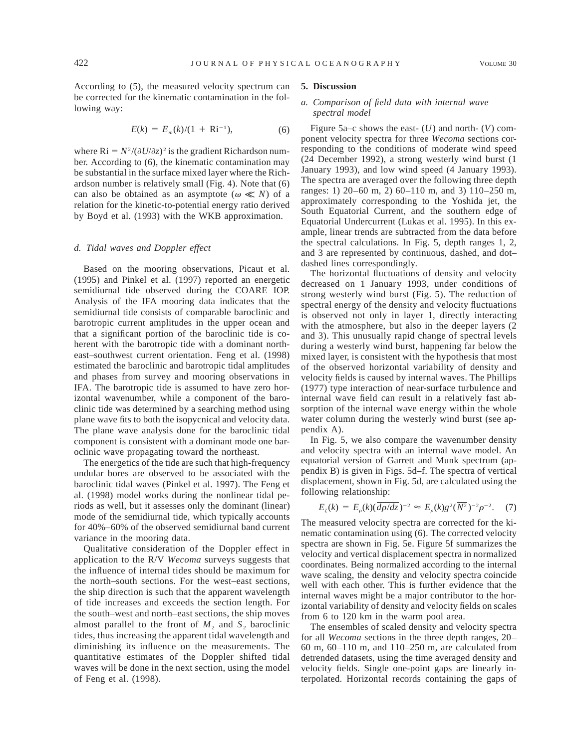According to (5), the measured velocity spectrum can be corrected for the kinematic contamination in the following way:

$$
E(k) = E_m(k)/(1 + Ri^{-1}),
$$
 (6)

where  $\text{Ri} = N^2/(\partial U/\partial z)^2$  is the gradient Richardson number. According to (6), the kinematic contamination may be substantial in the surface mixed layer where the Richardson number is relatively small (Fig. 4). Note that (6) can also be obtained as an asymptote ( $\omega \ll N$ ) of a relation for the kinetic-to-potential energy ratio derived by Boyd et al. (1993) with the WKB approximation.

## *d. Tidal waves and Doppler effect*

Based on the mooring observations, Picaut et al. (1995) and Pinkel et al. (1997) reported an energetic semidiurnal tide observed during the COARE IOP. Analysis of the IFA mooring data indicates that the semidiurnal tide consists of comparable baroclinic and barotropic current amplitudes in the upper ocean and that a significant portion of the baroclinic tide is coherent with the barotropic tide with a dominant northeast–southwest current orientation. Feng et al. (1998) estimated the baroclinic and barotropic tidal amplitudes and phases from survey and mooring observations in IFA. The barotropic tide is assumed to have zero horizontal wavenumber, while a component of the baroclinic tide was determined by a searching method using plane wave fits to both the isopycnical and velocity data. The plane wave analysis done for the baroclinic tidal component is consistent with a dominant mode one baroclinic wave propagating toward the northeast.

The energetics of the tide are such that high-frequency undular bores are observed to be associated with the baroclinic tidal waves (Pinkel et al. 1997). The Feng et al. (1998) model works during the nonlinear tidal periods as well, but it assesses only the dominant (linear) mode of the semidiurnal tide, which typically accounts for 40%–60% of the observed semidiurnal band current variance in the mooring data.

Qualitative consideration of the Doppler effect in application to the R/V *Wecoma* surveys suggests that the influence of internal tides should be maximum for the north–south sections. For the west–east sections, the ship direction is such that the apparent wavelength of tide increases and exceeds the section length. For the south–west and north–east sections, the ship moves almost parallel to the front of  $M_2$  and  $S_2$  baroclinic tides, thus increasing the apparent tidal wavelength and diminishing its influence on the measurements. The quantitative estimates of the Doppler shifted tidal waves will be done in the next section, using the model of Feng et al. (1998).

# **5. Discussion**

## *a. Comparison of field data with internal wave spectral model*

Figure 5a–c shows the east- (*U*) and north- (*V*) component velocity spectra for three *Wecoma* sections corresponding to the conditions of moderate wind speed (24 December 1992), a strong westerly wind burst (1 January 1993), and low wind speed (4 January 1993). The spectra are averaged over the following three depth ranges: 1) 20–60 m, 2) 60–110 m, and 3) 110–250 m, approximately corresponding to the Yoshida jet, the South Equatorial Current, and the southern edge of Equatorial Undercurrent (Lukas et al. 1995). In this example, linear trends are subtracted from the data before the spectral calculations. In Fig. 5, depth ranges 1, 2, and 3 are represented by continuous, dashed, and dot– dashed lines correspondingly.

The horizontal fluctuations of density and velocity decreased on 1 January 1993, under conditions of strong westerly wind burst (Fig. 5). The reduction of spectral energy of the density and velocity fluctuations is observed not only in layer 1, directly interacting with the atmosphere, but also in the deeper layers (2 and 3). This unusually rapid change of spectral levels during a westerly wind burst, happening far below the mixed layer, is consistent with the hypothesis that most of the observed horizontal variability of density and velocity fields is caused by internal waves. The Phillips (1977) type interaction of near-surface turbulence and internal wave field can result in a relatively fast absorption of the internal wave energy within the whole water column during the westerly wind burst (see appendix A).

In Fig. 5, we also compare the wavenumber density and velocity spectra with an internal wave model. An equatorial version of Garrett and Munk spectrum (appendix B) is given in Figs. 5d–f. The spectra of vertical displacement, shown in Fig. 5d, are calculated using the following relationship:

$$
E_{\zeta}(k) = E_{\rho}(k)(\overline{d\rho/dz})^{-2} \approx E_{\rho}(k)g^{2}(\overline{N^{2}})^{-2}\rho^{-2}.
$$
 (7)

The measured velocity spectra are corrected for the kinematic contamination using (6). The corrected velocity spectra are shown in Fig. 5e. Figure 5f summarizes the velocity and vertical displacement spectra in normalized coordinates. Being normalized according to the internal wave scaling, the density and velocity spectra coincide well with each other. This is further evidence that the internal waves might be a major contributor to the horizontal variability of density and velocity fields on scales from 6 to 120 km in the warm pool area.

The ensembles of scaled density and velocity spectra for all *Wecoma* sections in the three depth ranges, 20– 60 m, 60–110 m, and 110–250 m, are calculated from detrended datasets, using the time averaged density and velocity fields. Single one-point gaps are linearly interpolated. Horizontal records containing the gaps of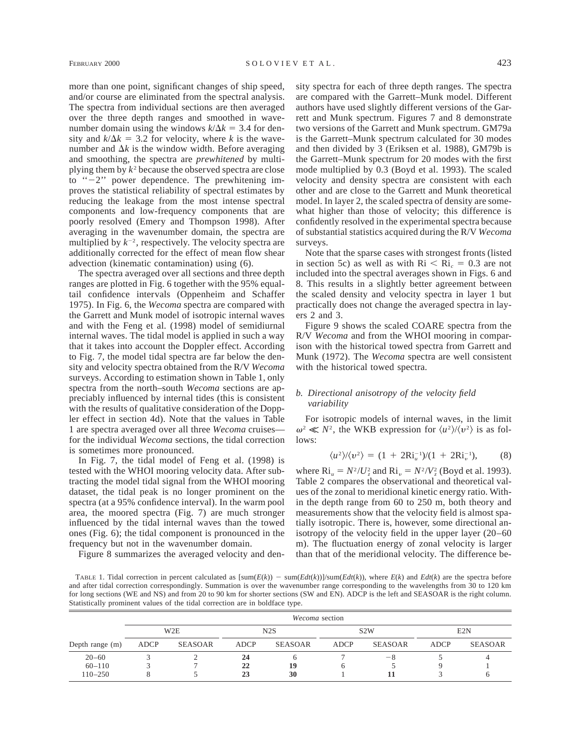more than one point, significant changes of ship speed, and/or course are eliminated from the spectral analysis. The spectra from individual sections are then averaged over the three depth ranges and smoothed in wavenumber domain using the windows  $k/\Delta k = 3.4$  for density and  $k/\Delta k = 3.2$  for velocity, where *k* is the wavenumber and  $\Delta k$  is the window width. Before averaging and smoothing, the spectra are *prewhitened* by multiplying them by  $k^2$  because the observed spectra are close to  $-2$ " power dependence. The prewhitening improves the statistical reliability of spectral estimates by reducing the leakage from the most intense spectral components and low-frequency components that are poorly resolved (Emery and Thompson 1998). After averaging in the wavenumber domain, the spectra are multiplied by  $k^{-2}$ , respectively. The velocity spectra are additionally corrected for the effect of mean flow shear advection (kinematic contamination) using (6).

The spectra averaged over all sections and three depth ranges are plotted in Fig. 6 together with the 95% equaltail confidence intervals (Oppenheim and Schaffer 1975). In Fig. 6, the *Wecoma* spectra are compared with the Garrett and Munk model of isotropic internal waves and with the Feng et al. (1998) model of semidiurnal internal waves. The tidal model is applied in such a way that it takes into account the Doppler effect. According to Fig. 7, the model tidal spectra are far below the density and velocity spectra obtained from the R/V *Wecoma* surveys. According to estimation shown in Table 1, only spectra from the north–south *Wecoma* sections are appreciably influenced by internal tides (this is consistent with the results of qualitative consideration of the Doppler effect in section 4d). Note that the values in Table 1 are spectra averaged over all three *Wecoma* cruises for the individual *Wecoma* sections, the tidal correction is sometimes more pronounced.

In Fig. 7, the tidal model of Feng et al. (1998) is tested with the WHOI mooring velocity data. After subtracting the model tidal signal from the WHOI mooring dataset, the tidal peak is no longer prominent on the spectra (at a 95% confidence interval). In the warm pool area, the moored spectra (Fig. 7) are much stronger influenced by the tidal internal waves than the towed ones (Fig. 6); the tidal component is pronounced in the frequency but not in the wavenumber domain.

Figure 8 summarizes the averaged velocity and den-

sity spectra for each of three depth ranges. The spectra are compared with the Garrett–Munk model. Different authors have used slightly different versions of the Garrett and Munk spectrum. Figures 7 and 8 demonstrate two versions of the Garrett and Munk spectrum. GM79a is the Garrett–Munk spectrum calculated for 30 modes and then divided by 3 (Eriksen et al. 1988), GM79b is the Garrett–Munk spectrum for 20 modes with the first mode multiplied by 0.3 (Boyd et al. 1993). The scaled velocity and density spectra are consistent with each other and are close to the Garrett and Munk theoretical model. In layer 2, the scaled spectra of density are somewhat higher than those of velocity; this difference is confidently resolved in the experimental spectra because of substantial statistics acquired during the R/V *Wecoma* surveys.

Note that the sparse cases with strongest fronts (listed in section 5c) as well as with  $\text{Ri} < \text{Ri}_c = 0.3$  are not included into the spectral averages shown in Figs. 6 and 8. This results in a slightly better agreement between the scaled density and velocity spectra in layer 1 but practically does not change the averaged spectra in layers 2 and 3.

Figure 9 shows the scaled COARE spectra from the R/V *Wecoma* and from the WHOI mooring in comparison with the historical towed spectra from Garrett and Munk (1972). The *Wecoma* spectra are well consistent with the historical towed spectra.

# *b. Directional anisotropy of the velocity field variability*

For isotropic models of internal waves, in the limit  $\omega^2 \ll N^2$ , the WKB expression for  $\langle u^2 \rangle / \langle v^2 \rangle$  is as follows:

$$
\langle u^2 \rangle / \langle v^2 \rangle = (1 + 2R i_u^{-1}) / (1 + 2R i_v^{-1}), \tag{8}
$$

where  $\text{Ri}_u = N^2 / U_z^2$  and  $\text{Ri}_v = N^2 / V_z^2$  (Boyd et al. 1993). Table 2 compares the observational and theoretical values of the zonal to meridional kinetic energy ratio. Within the depth range from 60 to 250 m, both theory and measurements show that the velocity field is almost spatially isotropic. There is, however, some directional anisotropy of the velocity field in the upper layer (20–60 m). The fluctuation energy of zonal velocity is larger than that of the meridional velocity. The difference be-

TABLE 1. Tidal correction in percent calculated as  $[\text{sum}(E(k)) - \text{sum}(Edt(k))]$ /sum $(Edt(k))$ , where  $E(k)$  and  $Edt(k)$  are the spectra before and after tidal correction correspondingly. Summation is over the wavenumber range corresponding to the wavelengths from 30 to 120 km for long sections (WE and NS) and from 20 to 90 km for shorter sections (SW and EN). ADCP is the left and SEASOAR is the right column. Statistically prominent values of the tidal correction are in boldface type.

|                   | Wecoma section |                  |             |                |             |                  |      |                |  |  |
|-------------------|----------------|------------------|-------------|----------------|-------------|------------------|------|----------------|--|--|
|                   |                | W <sub>2</sub> E |             | N2S            |             | S <sub>2</sub> W |      | E2N            |  |  |
| Depth range $(m)$ | ADCP           | <b>SEASOAR</b>   | <b>ADCP</b> | <b>SEASOAR</b> | <b>ADCP</b> | <b>SEASOAR</b>   | ADCP | <b>SEASOAR</b> |  |  |
| $20 - 60$         |                |                  | 24          |                |             | -8               |      |                |  |  |
| $60 - 110$        |                |                  | 22          | 19             |             |                  |      |                |  |  |
| $110 - 250$       |                |                  | 23          | 30             |             |                  |      |                |  |  |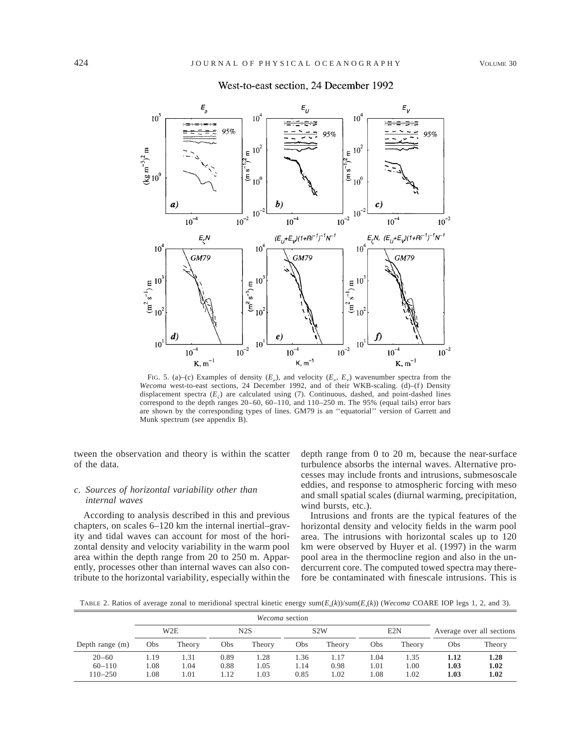

# West-to-east section, 24 December 1992

FIG. 5. (a)–(c) Examples of density  $(E_a)$ , and velocity  $(E_u, E_v)$  wavenumber spectra from the *Wecoma* west-to-east sections, 24 December 1992, and of their WKB-scaling. (d)–(f) Density displacement spectra  $(E<sub>i</sub>)$  are calculated using (7). Continuous, dashed, and point-dashed lines correspond to the depth ranges 20–60, 60–110, and 110–250 m. The 95% (equal tails) error bars are shown by the corresponding types of lines. GM79 is an ''equatorial'' version of Garrett and Munk spectrum (see appendix B).

tween the observation and theory is within the scatter of the data.

## *c. Sources of horizontal variability other than internal waves*

According to analysis described in this and previous chapters, on scales 6–120 km the internal inertial–gravity and tidal waves can account for most of the horizontal density and velocity variability in the warm pool area within the depth range from 20 to 250 m. Apparently, processes other than internal waves can also contribute to the horizontal variability, especially within the depth range from 0 to 20 m, because the near-surface turbulence absorbs the internal waves. Alternative processes may include fronts and intrusions, submesoscale eddies, and response to atmospheric forcing with meso and small spatial scales (diurnal warming, precipitation, wind bursts, etc.).

Intrusions and fronts are the typical features of the horizontal density and velocity fields in the warm pool area. The intrusions with horizontal scales up to 120 km were observed by Huyer et al. (1997) in the warm pool area in the thermocline region and also in the undercurrent core. The computed towed spectra may therefore be contaminated with finescale intrusions. This is

TABLE 2. Ratios of average zonal to meridional spectral kinetic energy  $sum(E_u(k))/sum(E_v(k))$  (*Wecoma* COARE IOP legs 1, 2, and 3).

|                                        | Wecoma section       |                      |                      |                      |                      |                      |                      |                      |                           |                      |
|----------------------------------------|----------------------|----------------------|----------------------|----------------------|----------------------|----------------------|----------------------|----------------------|---------------------------|----------------------|
|                                        | W <sub>2</sub> E     |                      | N2S                  |                      | S <sub>2</sub> W     |                      | E2N                  |                      | Average over all sections |                      |
| Depth range (m)                        | Obs                  | Theory               | Obs                  | Theory               | Obs                  | Theory               | Obs                  | Theory               | Obs                       | Theory               |
| $20 - 60$<br>$60 - 110$<br>$110 - 250$ | . . 19<br>.08<br>.08 | 1.31<br>. .04<br>.01 | 0.89<br>0.88<br>1.12 | l.28<br>l.05<br>0.03 | 1.36<br>1.14<br>0.85 | 1.17<br>0.98<br>1.02 | l.04<br>1.01<br>l.08 | 1.35<br>00.1<br>1.02 | 1.12<br>1.03<br>1.03      | 1.28<br>1.02<br>1.02 |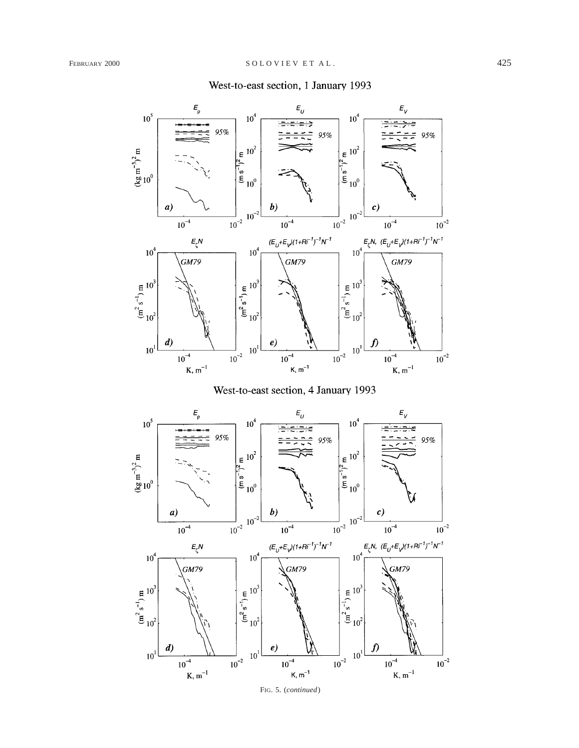# West-to-east section, 1 January 1993





FIG. 5. (*continued*)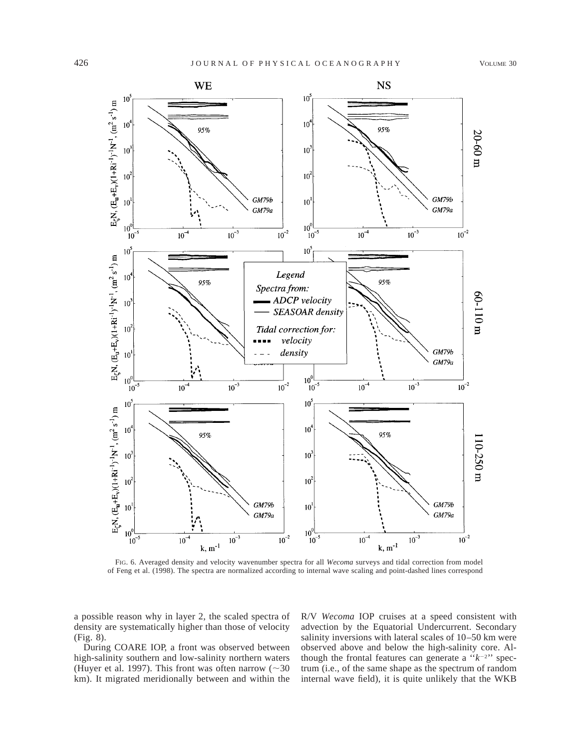

FIG. 6. Averaged density and velocity wavenumber spectra for all *Wecoma* surveys and tidal correction from model of Feng et al. (1998). The spectra are normalized according to internal wave scaling and point-dashed lines correspond

a possible reason why in layer 2, the scaled spectra of density are systematically higher than those of velocity (Fig. 8).

During COARE IOP, a front was observed between high-salinity southern and low-salinity northern waters (Huyer et al. 1997). This front was often narrow  $(\sim 30$ km). It migrated meridionally between and within the

R/V *Wecoma* IOP cruises at a speed consistent with advection by the Equatorial Undercurrent. Secondary salinity inversions with lateral scales of 10–50 km were observed above and below the high-salinity core. Although the frontal features can generate a  $"k^{-2}"$  spectrum (i.e., of the same shape as the spectrum of random internal wave field), it is quite unlikely that the WKB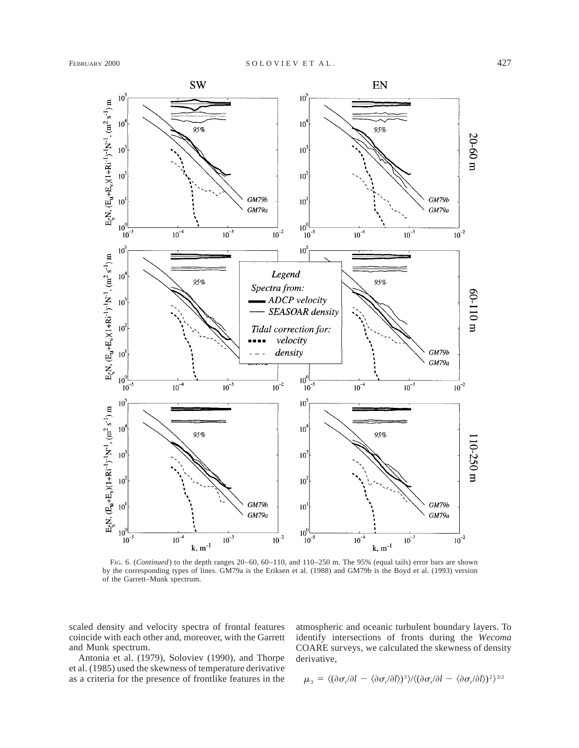

FIG. 6. (*Continued*) to the depth ranges 20–60, 60–110, and 110–250 m. The 95% (equal tails) error bars are shown by the corresponding types of lines. GM79a is the Eriksen et al. (1988) and GM79b is the Boyd et al. (1993) version of the Garrett–Munk spectrum.

scaled density and velocity spectra of frontal features coincide with each other and, moreover, with the Garrett and Munk spectrum.

Antonia et al. (1979), Soloviev (1990), and Thorpe et al. (1985) used the skewness of temperature derivative as a criteria for the presence of frontlike features in the atmospheric and oceanic turbulent boundary layers. To identify intersections of fronts during the *Wecoma* COARE surveys, we calculated the skewness of density derivative,

$$
\mu_3 = \langle (\partial \sigma_i / \partial l - \langle \partial \sigma_i / \partial l \rangle)^3 \rangle / \langle (\partial \sigma_i / \partial l - \langle \partial \sigma_i / \partial l \rangle)^2 \rangle^{3/2}
$$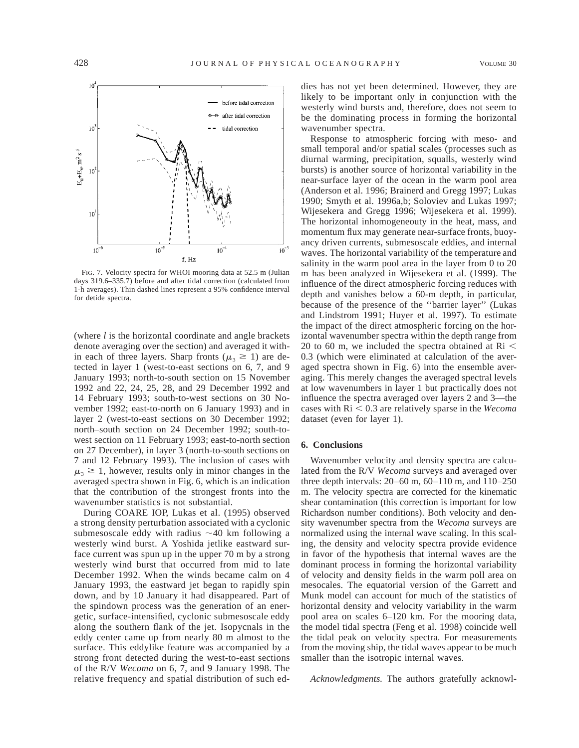

FIG. 7. Velocity spectra for WHOI mooring data at 52.5 m (Julian days 319.6–335.7) before and after tidal correction (calculated from 1-h averages). Thin dashed lines represent a 95% confidence interval for detide spectra.

(where *l* is the horizontal coordinate and angle brackets denote averaging over the section) and averaged it within each of three layers. Sharp fronts ( $\mu_3 \geq 1$ ) are detected in layer 1 (west-to-east sections on 6, 7, and 9 January 1993; north-to-south section on 15 November 1992 and 22, 24, 25, 28, and 29 December 1992 and 14 February 1993; south-to-west sections on 30 November 1992; east-to-north on 6 January 1993) and in layer 2 (west-to-east sections on 30 December 1992; north–south section on 24 December 1992; south-towest section on 11 February 1993; east-to-north section on 27 December), in layer 3 (north-to-south sections on 7 and 12 February 1993). The inclusion of cases with  $\mu_3 \geq 1$ , however, results only in minor changes in the averaged spectra shown in Fig. 6, which is an indication that the contribution of the strongest fronts into the wavenumber statistics is not substantial.

During COARE IOP, Lukas et al. (1995) observed a strong density perturbation associated with a cyclonic submesoscale eddy with radius  $\sim$ 40 km following a westerly wind burst. A Yoshida jetlike eastward surface current was spun up in the upper 70 m by a strong westerly wind burst that occurred from mid to late December 1992. When the winds became calm on 4 January 1993, the eastward jet began to rapidly spin down, and by 10 January it had disappeared. Part of the spindown process was the generation of an energetic, surface-intensified, cyclonic submesoscale eddy along the southern flank of the jet. Isopycnals in the eddy center came up from nearly 80 m almost to the surface. This eddylike feature was accompanied by a strong front detected during the west-to-east sections of the R/V *Wecoma* on 6, 7, and 9 January 1998. The relative frequency and spatial distribution of such eddies has not yet been determined. However, they are likely to be important only in conjunction with the westerly wind bursts and, therefore, does not seem to be the dominating process in forming the horizontal wavenumber spectra.

Response to atmospheric forcing with meso- and small temporal and/or spatial scales (processes such as diurnal warming, precipitation, squalls, westerly wind bursts) is another source of horizontal variability in the near-surface layer of the ocean in the warm pool area (Anderson et al. 1996; Brainerd and Gregg 1997; Lukas 1990; Smyth et al. 1996a,b; Soloviev and Lukas 1997; Wijesekera and Gregg 1996; Wijesekera et al. 1999). The horizontal inhomogeneouty in the heat, mass, and momentum flux may generate near-surface fronts, buoyancy driven currents, submesoscale eddies, and internal waves. The horizontal variability of the temperature and salinity in the warm pool area in the layer from 0 to 20 m has been analyzed in Wijesekera et al. (1999). The influence of the direct atmospheric forcing reduces with depth and vanishes below a 60-m depth, in particular, because of the presence of the ''barrier layer'' (Lukas and Lindstrom 1991; Huyer et al. 1997). To estimate the impact of the direct atmospheric forcing on the horizontal wavenumber spectra within the depth range from 20 to 60 m, we included the spectra obtained at  $\text{Ri}$  < 0.3 (which were eliminated at calculation of the averaged spectra shown in Fig. 6) into the ensemble averaging. This merely changes the averaged spectral levels at low wavenumbers in layer 1 but practically does not influence the spectra averaged over layers 2 and 3—the cases with  $\text{Ri}$  < 0.3 are relatively sparse in the *Wecoma* dataset (even for layer 1).

#### **6. Conclusions**

Wavenumber velocity and density spectra are calculated from the R/V *Wecoma* surveys and averaged over three depth intervals: 20–60 m, 60–110 m, and 110–250 m. The velocity spectra are corrected for the kinematic shear contamination (this correction is important for low Richardson number conditions). Both velocity and density wavenumber spectra from the *Wecoma* surveys are normalized using the internal wave scaling. In this scaling, the density and velocity spectra provide evidence in favor of the hypothesis that internal waves are the dominant process in forming the horizontal variability of velocity and density fields in the warm poll area on mesocales. The equatorial version of the Garrett and Munk model can account for much of the statistics of horizontal density and velocity variability in the warm pool area on scales 6–120 km. For the mooring data, the model tidal spectra (Feng et al. 1998) coincide well the tidal peak on velocity spectra. For measurements from the moving ship, the tidal waves appear to be much smaller than the isotropic internal waves.

*Acknowledgments.* The authors gratefully acknowl-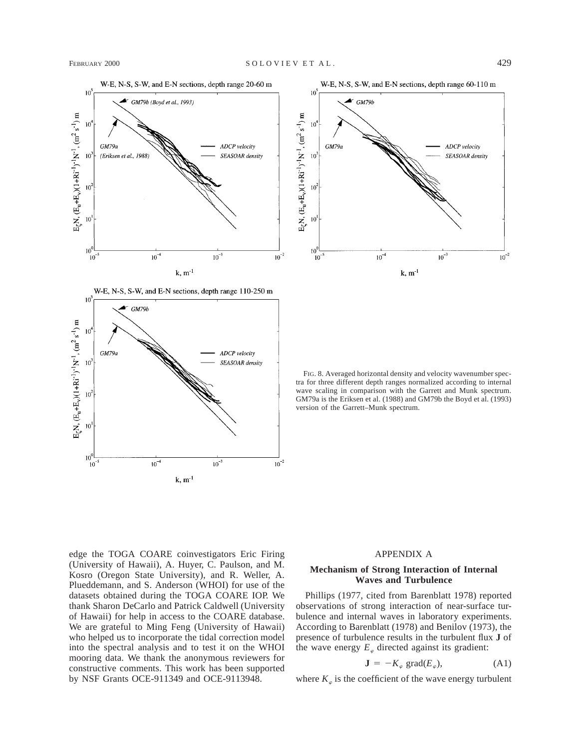

W-E, N-S, S-W, and E-N sections, depth range 110-250 m





FIG. 8. Averaged horizontal density and velocity wavenumber spectra for three different depth ranges normalized according to internal wave scaling in comparison with the Garrett and Munk spectrum. GM79a is the Eriksen et al. (1988) and GM79b the Boyd et al. (1993) version of the Garrett–Munk spectrum.

edge the TOGA COARE coinvestigators Eric Firing (University of Hawaii), A. Huyer, C. Paulson, and M. Kosro (Oregon State University), and R. Weller, A. Plueddemann, and S. Anderson (WHOI) for use of the datasets obtained during the TOGA COARE IOP. We thank Sharon DeCarlo and Patrick Caldwell (University of Hawaii) for help in access to the COARE database. We are grateful to Ming Feng (University of Hawaii) who helped us to incorporate the tidal correction model into the spectral analysis and to test it on the WHOI mooring data. We thank the anonymous reviewers for constructive comments. This work has been supported by NSF Grants OCE-911349 and OCE-9113948.

# APPENDIX A

## **Mechanism of Strong Interaction of Internal Waves and Turbulence**

Phillips (1977, cited from Barenblatt 1978) reported observations of strong interaction of near-surface turbulence and internal waves in laboratory experiments. According to Barenblatt (1978) and Benilov (1973), the presence of turbulence results in the turbulent flux **J** of the wave energy  $E_{\varphi}$  directed against its gradient:

$$
\mathbf{J} = -K_{\varphi} \text{ grad}(E_{\varphi}), \tag{A1}
$$

where  $K_{\varphi}$  is the coefficient of the wave energy turbulent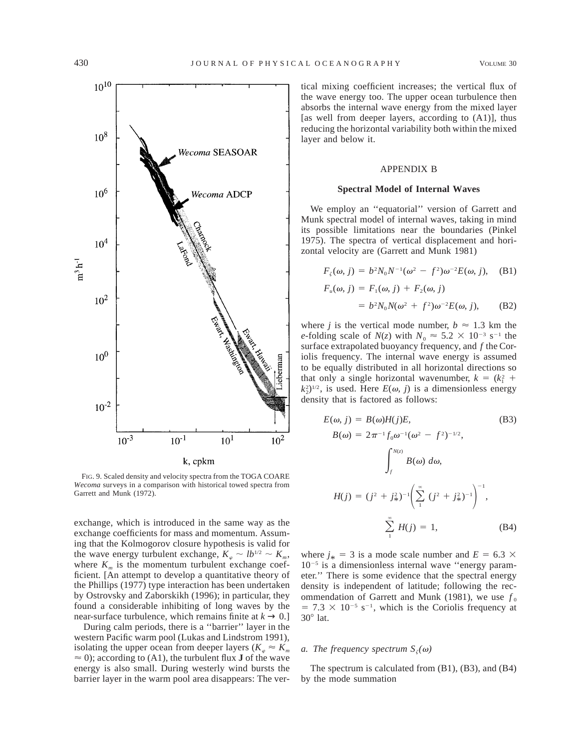

FIG. 9. Scaled density and velocity spectra from the TOGA COARE *Wecoma* surveys in a comparison with historical towed spectra from Garrett and Munk (1972).

exchange, which is introduced in the same way as the exchange coefficients for mass and momentum. Assuming that the Kolmogorov closure hypothesis is valid for the wave energy turbulent exchange,  $K_{\varphi} \sim lb^{1/2} \sim K_m$ , where  $K_m$  is the momentum turbulent exchange coefficient. [An attempt to develop a quantitative theory of the Phillips (1977) type interaction has been undertaken by Ostrovsky and Zaborskikh (1996); in particular, they found a considerable inhibiting of long waves by the near-surface turbulence, which remains finite at  $k \rightarrow 0$ .]

During calm periods, there is a ''barrier'' layer in the western Pacific warm pool (Lukas and Lindstrom 1991), isolating the upper ocean from deeper layers ( $K_{\alpha} \approx K_{\alpha}$  $\approx$  0); according to (A1), the turbulent flux **J** of the wave energy is also small. During westerly wind bursts the barrier layer in the warm pool area disappears: The vertical mixing coefficient increases; the vertical flux of the wave energy too. The upper ocean turbulence then absorbs the internal wave energy from the mixed layer [as well from deeper layers, according to (A1)], thus reducing the horizontal variability both within the mixed layer and below it.

#### APPENDIX B

#### **Spectral Model of Internal Waves**

We employ an ''equatorial'' version of Garrett and Munk spectral model of internal waves, taking in mind its possible limitations near the boundaries (Pinkel 1975). The spectra of vertical displacement and horizontal velocity are (Garrett and Munk 1981)

$$
F_{\zeta}(\omega, j) = b^2 N_0 N^{-1} (\omega^2 - f^2) \omega^{-2} E(\omega, j), \quad \text{(B1)}
$$
  

$$
F_u(\omega, j) = F_1(\omega, j) + F_2(\omega, j)
$$
  

$$
= b^2 N_0 N(\omega^2 + f^2) \omega^{-2} E(\omega, j), \quad \text{(B2)}
$$

where *j* is the vertical mode number,  $b \approx 1.3$  km the *e*-folding scale of  $N(z)$  with  $N_0 \approx 5.2 \times 10^{-3}$  s<sup>-1</sup> the surface extrapolated buoyancy frequency, and *f* the Coriolis frequency. The internal wave energy is assumed to be equally distributed in all horizontal directions so that only a single horizontal wavenumber,  $k = (k_1^2 + 1)$  $(k_2^2)^{1/2}$ , is used. Here  $E(\omega, j)$  is a dimensionless energy density that is factored as follows:

$$
E(\omega, j) = B(\omega)H(j)E,
$$
\n(B3)  
\n
$$
B(\omega) = 2\pi^{-1}f_0\omega^{-1}(\omega^2 - f^2)^{-1/2},
$$
\n
$$
\int_{f}^{N(x)} B(\omega) d\omega,
$$
\n
$$
H(j) = (j^2 + j^2_*)^{-1} \left(\sum_{1}^{\infty} (j^2 + j^2_*)^{-1}\right)^{-1},
$$
\n
$$
\sum_{1}^{\infty} H(j) = 1,
$$
\n(B4)

where  $j_* = 3$  is a mode scale number and  $E = 6.3 \times 10^{-5}$  is a dimensionless internal mass. "  $10^{-5}$  is a dimensionless internal wave "energy parameter.'' There is some evidence that the spectral energy density is independent of latitude; following the recommendation of Garrett and Munk (1981), we use  $f_0$  $= 7.3 \times 10^{-5}$  s<sup>-1</sup>, which is the Coriolis frequency at  $30^\circ$  lat.

#### *a. The frequency spectrum*  $S_z(\omega)$

The spectrum is calculated from (B1), (B3), and (B4) by the mode summation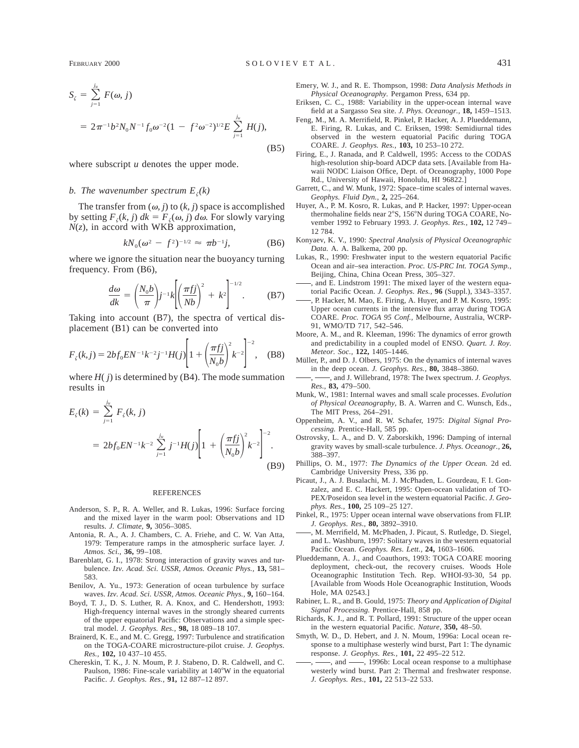(B5)

where subscript *u* denotes the upper mode.

#### *b. The wavenumber spectrum*  $E_{\tau}(k)$

The transfer from  $(\omega, j)$  to  $(k, j)$  space is accomplished by setting  $F_{\zeta}(k, j)$   $dk = F_{\zeta}(\omega, j)$   $d\omega$ . For slowly varying *N*(*z*), in accord with WKB approximation,

$$
kN_0(\omega^2 - f^2)^{-1/2} \approx \pi b^{-1} j, \tag{B6}
$$

where we ignore the situation near the buoyancy turning frequency. From (B6),

$$
\frac{d\omega}{dk} = \left(\frac{N_0 b}{\pi}\right) j^{-1} k \left[ \left(\frac{\pi f j}{Nb}\right)^2 + k^2 \right]^{-1/2}.
$$
 (B7)

Taking into account (B7), the spectra of vertical displacement (B1) can be converted into

$$
F_{\zeta}(k,j) = 2bf_0 E N^{-1} k^{-2} j^{-1} H(j) \left[ 1 + \left( \frac{\pi f j}{N_0 b} \right)^2 k^{-2} \right]^{-2}, \quad (B8)
$$

where  $H(j)$  is determined by (B4). The mode summation results in

$$
E_{\zeta}(k) = \sum_{j=1}^{j_u} F_{\zeta}(k, j)
$$
  
=  $2bf_0 E N^{-1} k^{-2} \sum_{j=1}^{j_u} j^{-1} H(j) \left[ 1 + \left( \frac{\pi f j}{N_0 b} \right)^2 k^{-2} \right]^{-2}$ . (B9)

#### **REFERENCES**

- Anderson, S. P., R. A. Weller, and R. Lukas, 1996: Surface forcing and the mixed layer in the warm pool: Observations and 1D results. *J. Climate,* **9,** 3056–3085.
- Antonia, R. A., A. J. Chambers, C. A. Friehe, and C. W. Van Atta, 1979: Temperature ramps in the atmospheric surface layer. *J. Atmos. Sci.,* **36,** 99–108.
- Barenblatt, G. I., 1978: Strong interaction of gravity waves and turbulence. *Izv. Acad. Sci. USSR, Atmos. Oceanic Phys.,* **13,** 581– 583.
- Benilov, A. Yu., 1973: Generation of ocean turbulence by surface waves. *Izv. Acad. Sci. USSR, Atmos. Oceanic Phys.,* **9,** 160–164.
- Boyd, T. J., D. S. Luther, R. A. Knox, and C. Hendershott, 1993: High-frequency internal waves in the strongly sheared currents of the upper equatorial Pacific: Observations and a simple spectral model. *J. Geophys. Res.,* **98,** 18 089–18 107.
- Brainerd, K. E., and M. C. Gregg, 1997: Turbulence and stratification on the TOGA-COARE microstructure-pilot cruise. *J. Geophys. Res.,* **102,** 10 437–10 455.
- Chereskin, T. K., J. N. Moum, P. J. Stabeno, D. R. Caldwell, and C. Paulson, 1986: Fine-scale variability at 140°W in the equatorial Pacific. *J. Geophys. Res.,* **91,** 12 887–12 897.
- Emery, W. J., and R. E. Thompson, 1998: *Data Analysis Methods in Physical Oceanography.* Pergamon Press, 634 pp.
- Eriksen, C. C., 1988: Variability in the upper-ocean internal wave field at a Sargasso Sea site. *J. Phys. Oceanogr.,* **18,** 1459–1513.
- Feng, M., M. A. Merrifield, R. Pinkel, P. Hacker, A. J. Plueddemann, E. Firing, R. Lukas, and C. Eriksen, 1998: Semidiurnal tides observed in the western equatorial Pacific during TOGA COARE. *J. Geophys. Res.,* **103,** 10 253–10 272.
- Firing, E., J. Ranada, and P. Caldwell, 1995: Access to the CODAS high-resolution ship-board ADCP data sets. [Available from Hawaii NODC Liaison Office, Dept. of Oceanography, 1000 Pope Rd., University of Hawaii, Honolulu, HI 96822.]
- Garrett, C., and W. Munk, 1972: Space–time scales of internal waves. *Geophys. Fluid Dyn.,* **2,** 225–264.
- Huyer, A., P. M. Kosro, R. Lukas, and P. Hacker, 1997: Upper-ocean thermohaline fields near 2°S, 156°N during TOGA COARE, November 1992 to February 1993. *J. Geophys. Res.,* **102,** 12 749– 12 784.
- Konyaev, K. V., 1990: *Spectral Analysis of Physical Oceanographic Data.* A. A. Balkema, 200 pp.
- Lukas, R., 1990: Freshwater input to the western equatorial Pacific Ocean and air–sea interaction. *Proc. US-PRC Int. TOGA Symp.,* Beijing, China, China Ocean Press, 305–327.
- , and E. Lindstrom 1991: The mixed layer of the western equatorial Pacific Ocean. *J. Geophys. Res.,* **96** (Suppl.), 3343–3357.
- , P. Hacker, M. Mao, E. Firing, A. Huyer, and P. M. Kosro, 1995: Upper ocean currents in the intensive flux array during TOGA COARE. *Proc. TOGA 95 Conf.,* Melbourne, Australia, WCRP-91, WMO/TD 717, 542–546.
- Moore, A. M., and R. Kleeman, 1996: The dynamics of error growth and predictability in a coupled model of ENSO. *Quart. J. Roy. Meteor. Soc.,* **122,** 1405–1446.
- Müller, P., and D. J. Olbers, 1975: On the dynamics of internal waves in the deep ocean. *J. Geophys. Res.,* **80,** 3848–3860.
- , and J. Willebrand, 1978: The Iwex spectrum. *J. Geophys. Res.,* **83,** 479–500.
- Munk, W., 1981: Internal waves and small scale processes. *Evolution of Physical Oceanography,* B. A. Warren and C. Wunsch, Eds., The MIT Press, 264–291.
- Oppenheim, A. V., and R. W. Schafer, 1975: *Digital Signal Processing.* Prentice-Hall, 585 pp.
- Ostrovsky, L. A., and D. V. Zaborskikh, 1996: Damping of internal gravity waves by small-scale turbulence. *J. Phys. Oceanogr.,* **26,** 388–397.
- Phillips, O. M., 1977: *The Dynamics of the Upper Ocean.* 2d ed. Cambridge University Press, 336 pp.
- Picaut, J., A. J. Busalachi, M. J. McPhaden, L. Gourdeau, F. I. Gonzalez, and E. C. Hackert, 1995: Open-ocean validation of TO-PEX/Poseidon sea level in the western equatorial Pacific. *J. Geophys. Res.,* **100,** 25 109–25 127.
- Pinkel, R., 1975: Upper ocean internal wave observations from FLIP. *J. Geophys. Res.,* **80,** 3892–3910.
- , M. Merrifield, M. McPhaden, J. Picaut, S. Rutledge, D. Siegel, and L. Washburn, 1997: Solitary waves in the western equatorial Pacific Ocean. *Geophys. Res. Lett.,* **24,** 1603–1606.
- Plueddemann, A. J., and Coauthors, 1993: TOGA COARE mooring deployment, check-out, the recovery cruises. Woods Hole Oceanographic Institution Tech. Rep. WHOI-93-30, 54 pp. [Available from Woods Hole Oceanographic Institution, Woods Hole, MA 02543.]
- Rabiner, L. R., and B. Gould, 1975: *Theory and Application of Digital Signal Processing.* Prentice-Hall, 858 pp.
- Richards, K. J., and R. T. Pollard, 1991: Structure of the upper ocean in the western equatorial Pacific. *Nature,* **350,** 48–50.
- Smyth, W. D., D. Hebert, and J. N. Moum, 1996a: Local ocean response to a multiphase westerly wind burst, Part 1: The dynamic response. *J. Geophys. Res.,* **101,** 22 495–22 512.
- -, and -, 1996b: Local ocean response to a multiphase westerly wind burst. Part 2: Thermal and freshwater response. *J. Geophys. Res.,* **101,** 22 513–22 533.